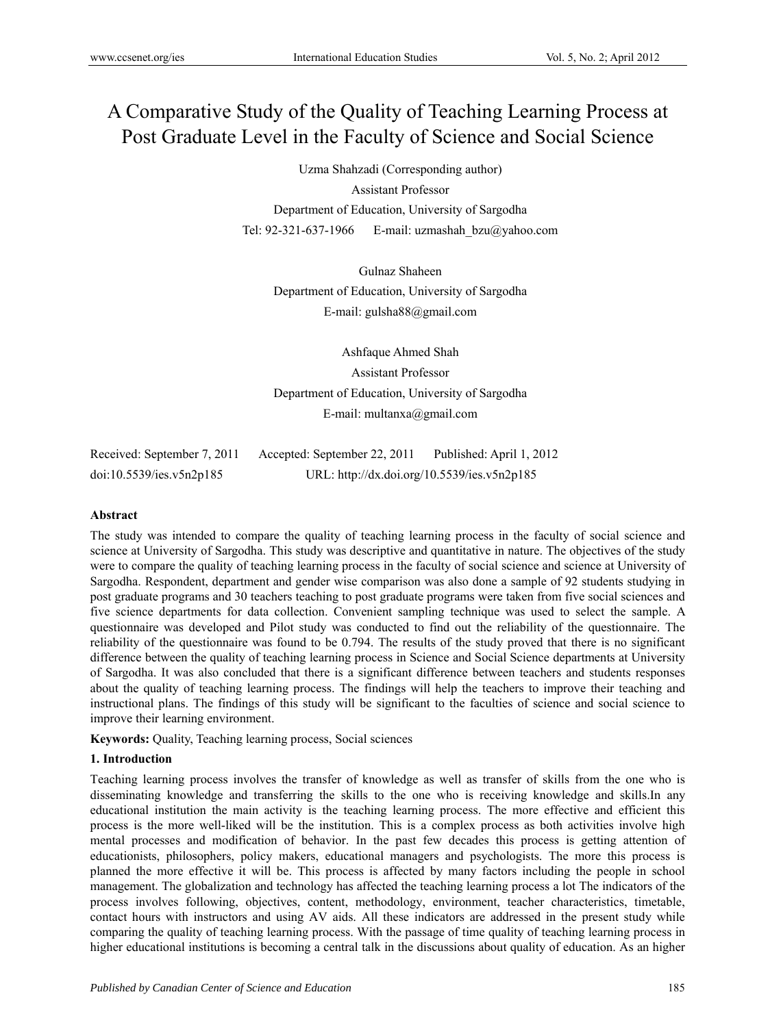# A Comparative Study of the Quality of Teaching Learning Process at Post Graduate Level in the Faculty of Science and Social Science

Uzma Shahzadi (Corresponding author)

Assistant Professor Department of Education, University of Sargodha Tel: 92-321-637-1966 E-mail: uzmashah bzu $@$ yahoo.com

Gulnaz Shaheen Department of Education, University of Sargodha E-mail: gulsha88@gmail.com

Ashfaque Ahmed Shah Assistant Professor Department of Education, University of Sargodha E-mail: multanxa@gmail.com

Received: September 7, 2011 Accepted: September 22, 2011 Published: April 1, 2012 doi:10.5539/ies.v5n2p185 URL: http://dx.doi.org/10.5539/ies.v5n2p185

#### **Abstract**

The study was intended to compare the quality of teaching learning process in the faculty of social science and science at University of Sargodha. This study was descriptive and quantitative in nature. The objectives of the study were to compare the quality of teaching learning process in the faculty of social science and science at University of Sargodha. Respondent, department and gender wise comparison was also done a sample of 92 students studying in post graduate programs and 30 teachers teaching to post graduate programs were taken from five social sciences and five science departments for data collection. Convenient sampling technique was used to select the sample. A questionnaire was developed and Pilot study was conducted to find out the reliability of the questionnaire. The reliability of the questionnaire was found to be 0.794. The results of the study proved that there is no significant difference between the quality of teaching learning process in Science and Social Science departments at University of Sargodha. It was also concluded that there is a significant difference between teachers and students responses about the quality of teaching learning process. The findings will help the teachers to improve their teaching and instructional plans. The findings of this study will be significant to the faculties of science and social science to improve their learning environment.

**Keywords:** Quality, Teaching learning process, Social sciences

### **1. Introduction**

Teaching learning process involves the transfer of knowledge as well as transfer of skills from the one who is disseminating knowledge and transferring the skills to the one who is receiving knowledge and skills.In any educational institution the main activity is the teaching learning process. The more effective and efficient this process is the more well-liked will be the institution. This is a complex process as both activities involve high mental processes and modification of behavior. In the past few decades this process is getting attention of educationists, philosophers, policy makers, educational managers and psychologists. The more this process is planned the more effective it will be. This process is affected by many factors including the people in school management. The globalization and technology has affected the teaching learning process a lot The indicators of the process involves following, objectives, content, methodology, environment, teacher characteristics, timetable, contact hours with instructors and using AV aids. All these indicators are addressed in the present study while comparing the quality of teaching learning process. With the passage of time quality of teaching learning process in higher educational institutions is becoming a central talk in the discussions about quality of education. As an higher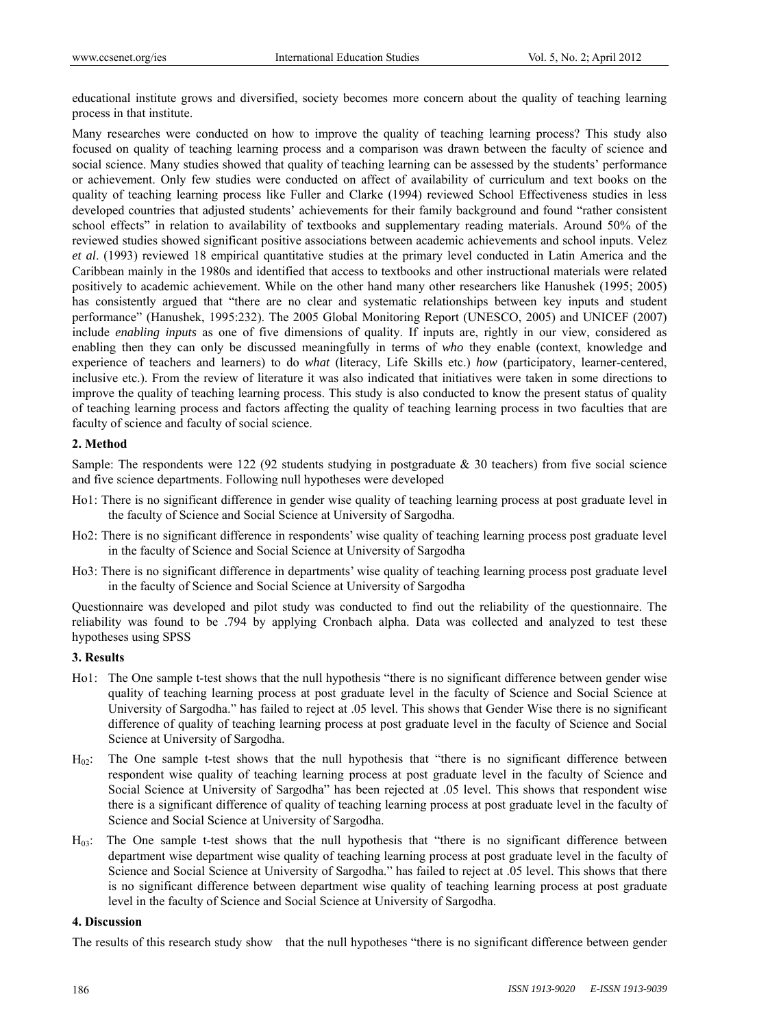educational institute grows and diversified, society becomes more concern about the quality of teaching learning process in that institute.

Many researches were conducted on how to improve the quality of teaching learning process? This study also focused on quality of teaching learning process and a comparison was drawn between the faculty of science and social science. Many studies showed that quality of teaching learning can be assessed by the students' performance or achievement. Only few studies were conducted on affect of availability of curriculum and text books on the quality of teaching learning process like Fuller and Clarke (1994) reviewed School Effectiveness studies in less developed countries that adjusted students' achievements for their family background and found "rather consistent school effects" in relation to availability of textbooks and supplementary reading materials. Around 50% of the reviewed studies showed significant positive associations between academic achievements and school inputs. Velez *et al*. (1993) reviewed 18 empirical quantitative studies at the primary level conducted in Latin America and the Caribbean mainly in the 1980s and identified that access to textbooks and other instructional materials were related positively to academic achievement. While on the other hand many other researchers like Hanushek (1995; 2005) has consistently argued that "there are no clear and systematic relationships between key inputs and student performance" (Hanushek, 1995:232). The 2005 Global Monitoring Report (UNESCO, 2005) and UNICEF (2007) include *enabling inputs* as one of five dimensions of quality. If inputs are, rightly in our view, considered as enabling then they can only be discussed meaningfully in terms of *who* they enable (context, knowledge and experience of teachers and learners) to do *what* (literacy, Life Skills etc.) *how* (participatory, learner-centered, inclusive etc.). From the review of literature it was also indicated that initiatives were taken in some directions to improve the quality of teaching learning process. This study is also conducted to know the present status of quality of teaching learning process and factors affecting the quality of teaching learning process in two faculties that are faculty of science and faculty of social science.

#### **2. Method**

Sample: The respondents were 122 (92 students studying in postgraduate & 30 teachers) from five social science and five science departments. Following null hypotheses were developed

- Hο1: There is no significant difference in gender wise quality of teaching learning process at post graduate level in the faculty of Science and Social Science at University of Sargodha.
- Ho2: There is no significant difference in respondents' wise quality of teaching learning process post graduate level in the faculty of Science and Social Science at University of Sargodha
- Ho3: There is no significant difference in departments' wise quality of teaching learning process post graduate level in the faculty of Science and Social Science at University of Sargodha

Questionnaire was developed and pilot study was conducted to find out the reliability of the questionnaire. The reliability was found to be .794 by applying Cronbach alpha. Data was collected and analyzed to test these hypotheses using SPSS

#### **3. Results**

- Ho1: The One sample t-test shows that the null hypothesis "there is no significant difference between gender wise quality of teaching learning process at post graduate level in the faculty of Science and Social Science at University of Sargodha." has failed to reject at .05 level. This shows that Gender Wise there is no significant difference of quality of teaching learning process at post graduate level in the faculty of Science and Social Science at University of Sargodha.
- H02: The One sample t-test shows that the null hypothesis that "there is no significant difference between respondent wise quality of teaching learning process at post graduate level in the faculty of Science and Social Science at University of Sargodha" has been rejected at .05 level. This shows that respondent wise there is a significant difference of quality of teaching learning process at post graduate level in the faculty of Science and Social Science at University of Sargodha.
- H03: The One sample t-test shows that the null hypothesis that "there is no significant difference between department wise department wise quality of teaching learning process at post graduate level in the faculty of Science and Social Science at University of Sargodha." has failed to reject at .05 level. This shows that there is no significant difference between department wise quality of teaching learning process at post graduate level in the faculty of Science and Social Science at University of Sargodha.

#### **4. Discussion**

The results of this research study show that the null hypotheses "there is no significant difference between gender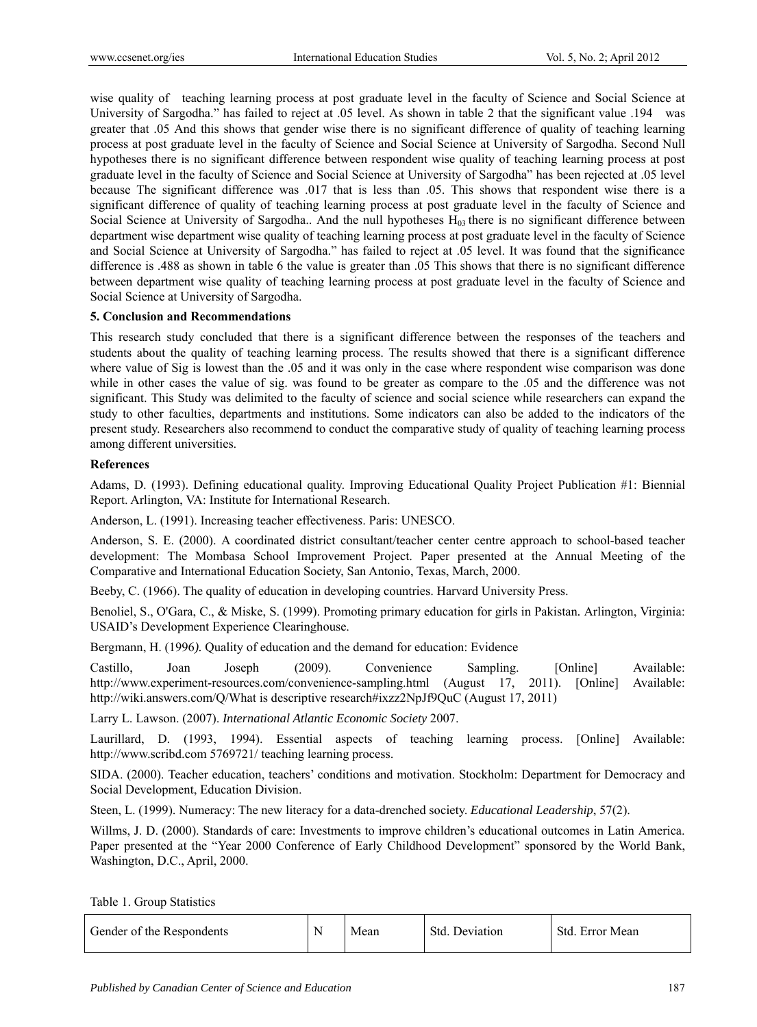wise quality of teaching learning process at post graduate level in the faculty of Science and Social Science at University of Sargodha." has failed to reject at .05 level. As shown in table 2 that the significant value .194 was greater that .05 And this shows that gender wise there is no significant difference of quality of teaching learning process at post graduate level in the faculty of Science and Social Science at University of Sargodha. Second Null hypotheses there is no significant difference between respondent wise quality of teaching learning process at post graduate level in the faculty of Science and Social Science at University of Sargodha" has been rejected at .05 level because The significant difference was .017 that is less than .05. This shows that respondent wise there is a significant difference of quality of teaching learning process at post graduate level in the faculty of Science and Social Science at University of Sargodha.. And the null hypotheses  $H_{03}$  there is no significant difference between department wise department wise quality of teaching learning process at post graduate level in the faculty of Science and Social Science at University of Sargodha." has failed to reject at .05 level. It was found that the significance difference is .488 as shown in table 6 the value is greater than .05 This shows that there is no significant difference between department wise quality of teaching learning process at post graduate level in the faculty of Science and Social Science at University of Sargodha.

#### **5. Conclusion and Recommendations**

This research study concluded that there is a significant difference between the responses of the teachers and students about the quality of teaching learning process. The results showed that there is a significant difference where value of Sig is lowest than the .05 and it was only in the case where respondent wise comparison was done while in other cases the value of sig. was found to be greater as compare to the .05 and the difference was not significant. This Study was delimited to the faculty of science and social science while researchers can expand the study to other faculties, departments and institutions. Some indicators can also be added to the indicators of the present study. Researchers also recommend to conduct the comparative study of quality of teaching learning process among different universities.

#### **References**

Adams, D. (1993). Defining educational quality. Improving Educational Quality Project Publication #1: Biennial Report. Arlington, VA: Institute for International Research.

Anderson, L. (1991). Increasing teacher effectivenes*s*. Paris: UNESCO.

Anderson, S. E. (2000). A coordinated district consultant/teacher center centre approach to school-based teacher development: The Mombasa School Improvement Project. Paper presented at the Annual Meeting of the Comparative and International Education Society, San Antonio, Texas, March, 2000.

Beeby, C. (1966). The quality of education in developing countries. Harvard University Press.

Benoliel, S., O'Gara, C., & Miske, S. (1999). Promoting primary education for girls in Pakistan*.* Arlington, Virginia: USAID's Development Experience Clearinghouse.

Bergmann, H. (1996*).* Quality of education and the demand for education: Evidence

Castillo, Joan Joseph (2009). Convenience Sampling. [Online] Available: http://www.experiment-resources.com/convenience-sampling.html (August 17, 2011). [Online] Available: http://wiki.answers.com/Q/What is descriptive research#ixzz2NpJf9QuC (August 17, 2011)

Larry L. Lawson. (2007). *International Atlantic Economic Society* 2007.

Laurillard, D. (1993, 1994). Essential aspects of teaching learning process. [Online] Available: http://www.scribd.com 5769721/ teaching learning process.

SIDA. (2000). Teacher education, teachers' conditions and motivation. Stockholm: Department for Democracy and Social Development, Education Division.

Steen, L. (1999). Numeracy: The new literacy for a data-drenched society. *Educational Leadership*, 57(2).

Willms, J. D. (2000). Standards of care: Investments to improve children's educational outcomes in Latin America. Paper presented at the "Year 2000 Conference of Early Childhood Development" sponsored by the World Bank, Washington, D.C., April, 2000.

| Table 1. Group Statistics |  |
|---------------------------|--|
|---------------------------|--|

| Gender of the Respondents | Mean | Std. Deviation | Std. Error Mean |
|---------------------------|------|----------------|-----------------|
|                           |      |                |                 |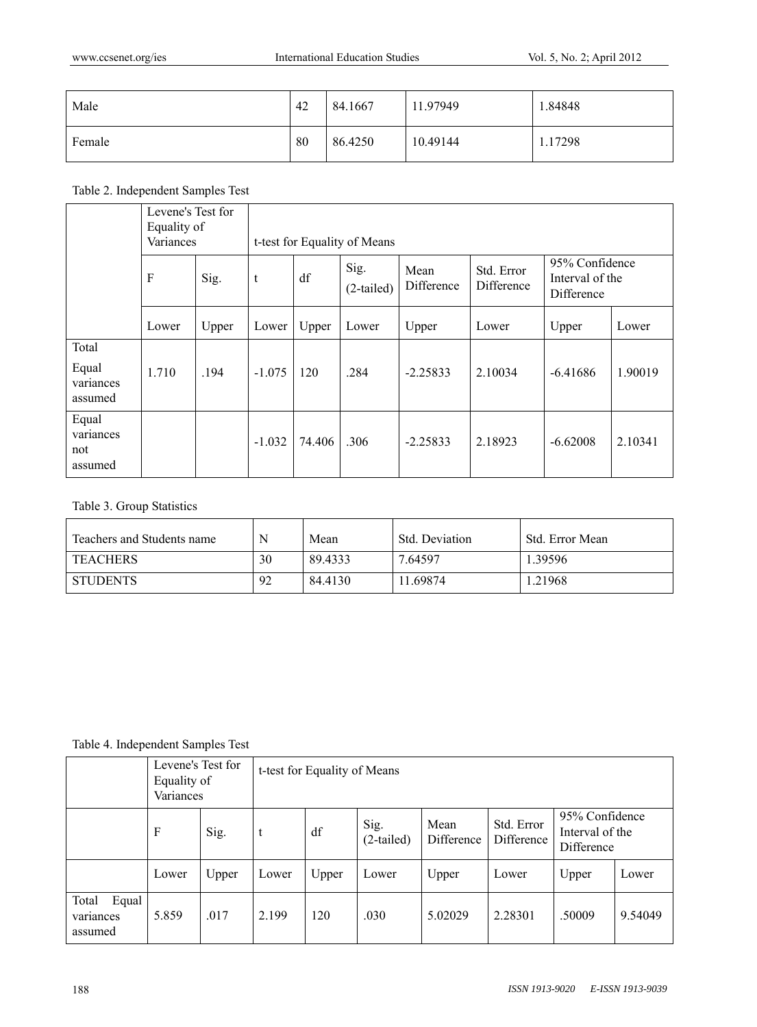| Male   | 42 | 84.1667 | 11.97949 | 84848. |
|--------|----|---------|----------|--------|
| Female | 80 | 86.4250 | 10.49144 | .17298 |

## Table 2. Independent Samples Test

|                                        | Levene's Test for<br>Equality of<br>Variances |       |          | t-test for Equality of Means |                      |                    |                          |                                                 |         |  |
|----------------------------------------|-----------------------------------------------|-------|----------|------------------------------|----------------------|--------------------|--------------------------|-------------------------------------------------|---------|--|
|                                        | F                                             | Sig.  | t        | df                           | Sig.<br>$(2-tailed)$ | Mean<br>Difference | Std. Error<br>Difference | 95% Confidence<br>Interval of the<br>Difference |         |  |
|                                        | Lower                                         | Upper | Lower    | Upper                        | Lower                | Upper              | Lower                    | Upper                                           | Lower   |  |
| Total<br>Equal<br>variances<br>assumed | 1.710                                         | .194  | $-1.075$ | 120                          | .284                 | $-2.25833$         | 2.10034                  | $-6.41686$                                      | 1.90019 |  |
| Equal<br>variances<br>not<br>assumed   |                                               |       | $-1.032$ | 74.406                       | .306                 | $-2.25833$         | 2.18923                  | $-6.62008$                                      | 2.10341 |  |

# Table 3. Group Statistics

| Teachers and Students name | N  | Mean    | Std. Deviation | Std. Error Mean |
|----------------------------|----|---------|----------------|-----------------|
| I TEACHERS                 | 30 | 89.4333 | 7.64597        | 1.39596         |
| I STUDENTS                 | 92 | 84.4130 | 11.69874       | 1.21968         |

# Table 4. Independent Samples Test

|                                        | Levene's Test for<br>Equality of<br>Variances |       |       | t-test for Equality of Means |                      |                    |                          |                                                 |         |
|----------------------------------------|-----------------------------------------------|-------|-------|------------------------------|----------------------|--------------------|--------------------------|-------------------------------------------------|---------|
|                                        | F                                             | Sig.  | t     | df                           | Sig.<br>$(2-tailed)$ | Mean<br>Difference | Std. Error<br>Difference | 95% Confidence<br>Interval of the<br>Difference |         |
|                                        | Lower                                         | Upper | Lower | Upper                        | Lower                | Upper              | Lower                    | Upper                                           | Lower   |
| Equal<br>Total<br>variances<br>assumed | 5.859                                         | .017  | 2.199 | 120                          | .030                 | 5.02029            | 2.28301                  | .50009                                          | 9.54049 |